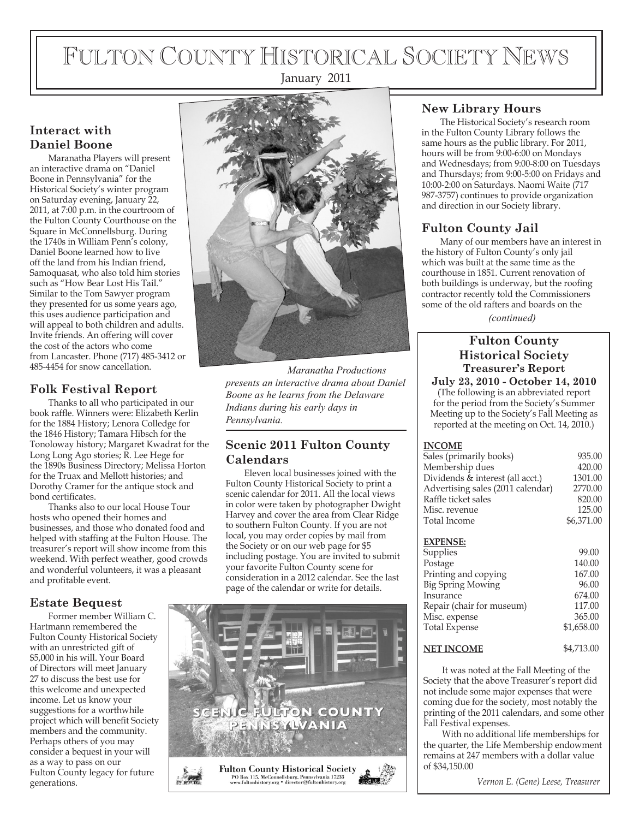# FULTON COUNTY HISTORICAL SOCIETY NEWS

January 2011

# **Interact with Daniel Boone**

Maranatha Players will present an interactive drama on "Daniel Boone in Pennsylvania" for the Historical Society's winter program on Saturday evening, January 22, 2011, at 7:00 p.m. in the courtroom of the Fulton County Courthouse on the Square in McConnellsburg. During the 1740s in William Penn's colony, Daniel Boone learned how to live off the land from his Indian friend, Samoquasat, who also told him stories such as "How Bear Lost His Tail." Similar to the Tom Sawyer program they presented for us some years ago, this uses audience participation and will appeal to both children and adults. Invite friends. An offering will cover the cost of the actors who come from Lancaster. Phone (717) 485-3412 or 485-4454 for snow cancellation.

# **Folk Festival Report**

Thanks to all who participated in our book raffle. Winners were: Elizabeth Kerlin for the 1884 History; Lenora Colledge for the 1846 History; Tamara Hibsch for the Tonoloway history; Margaret Kwadrat for the Long Long Ago stories; R. Lee Hege for the 1890s Business Directory; Melissa Horton for the Truax and Mellott histories; and Dorothy Cramer for the antique stock and bond certificates.

Thanks also to our local House Tour hosts who opened their homes and businesses, and those who donated food and helped with staffing at the Fulton House. The treasurer's report will show income from this weekend. With perfect weather, good crowds and wonderful volunteers, it was a pleasant and profitable event.

# **Estate Bequest**

Former member William C. Hartmann remembered the Fulton County Historical Society with an unrestricted gift of \$5,000 in his will. Your Board of Directors will meet January 27 to discuss the best use for this welcome and unexpected income. Let us know your suggestions for a worthwhile project which will benefit Society members and the community. Perhaps others of you may consider a bequest in your will as a way to pass on our Fulton County legacy for future generations.



*Maranatha Productions presents an interactive drama about Daniel Boone as he learns from the Delaware Indians during his early days in Pennsylvania.*

## **Scenic 2011 Fulton County Calendars**

Eleven local businesses joined with the Fulton County Historical Society to print a scenic calendar for 2011. All the local views in color were taken by photographer Dwight Harvey and cover the area from Clear Ridge to southern Fulton County. If you are not local, you may order copies by mail from the Society or on our web page for \$5 including postage. You are invited to submit your favorite Fulton County scene for consideration in a 2012 calendar. See the last page of the calendar or write for details.



# **New Library Hours**

The Historical Society's research room in the Fulton County Library follows the same hours as the public library. For 2011, hours will be from 9:00-6:00 on Mondays and Wednesdays; from 9:00-8:00 on Tuesdays and Thursdays; from 9:00-5:00 on Fridays and 10:00-2:00 on Saturdays. Naomi Waite (717 987-3757) continues to provide organization and direction in our Society library.

# **Fulton County Jail**

Many of our members have an interest in the history of Fulton County's only jail which was built at the same time as the courthouse in 1851. Current renovation of both buildings is underway, but the roofing contractor recently told the Commissioners some of the old rafters and boards on the

*(continued)*

## **Fulton County Historical Society Treasurer's Report**

**July 23, 2010 - October 14, 2010** (The following is an abbreviated report for the period from the Society's Summer Meeting up to the Society's Fall Meeting as reported at the meeting on Oct. 14, 2010.)

### **INCOME**

| 935.00     |
|------------|
| 420.00     |
| 1301.00    |
| 2770.00    |
| 820.00     |
| 125.00     |
| \$6,371.00 |
|            |

### **EXPENSE:**

| Supplies                  | 99.00      |
|---------------------------|------------|
| Postage                   | 140.00     |
| Printing and copying      | 167.00     |
| <b>Big Spring Mowing</b>  | 96.00      |
| Insurance                 | 674.00     |
| Repair (chair for museum) | 117.00     |
| Misc. expense             | 365.00     |
| <b>Total Expense</b>      | \$1,658.00 |
|                           |            |

#### **NET INCOME** \$4,713.00

It was noted at the Fall Meeting of the Society that the above Treasurer's report did not include some major expenses that were coming due for the society, most notably the printing of the 2011 calendars, and some other Fall Festival expenses.

With no additional life memberships for the quarter, the Life Membership endowment remains at 247 members with a dollar value of \$34,150.00

*Vernon E. (Gene) Leese, Treasurer*